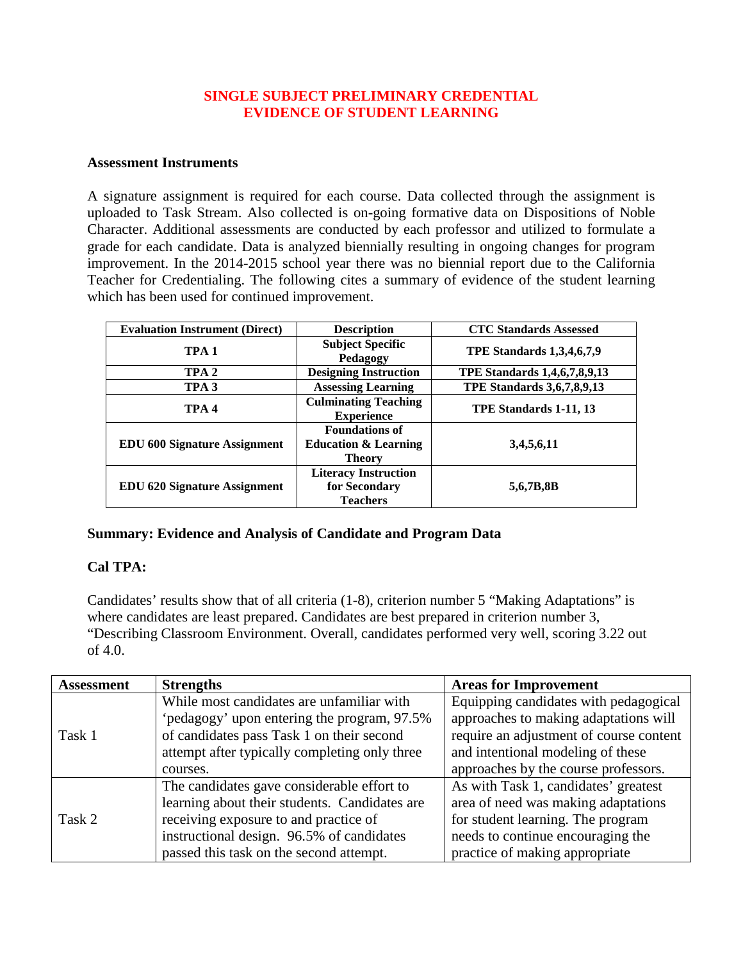#### **SINGLE SUBJECT PRELIMINARY CREDENTIAL EVIDENCE OF STUDENT LEARNING**

#### **Assessment Instruments**

A signature assignment is required for each course. Data collected through the assignment is uploaded to Task Stream. Also collected is on-going formative data on Dispositions of Noble Character. Additional assessments are conducted by each professor and utilized to formulate a grade for each candidate. Data is analyzed biennially resulting in ongoing changes for program improvement. In the 2014-2015 school year there was no biennial report due to the California Teacher for Credentialing. The following cites a summary of evidence of the student learning which has been used for continued improvement.

| <b>Evaluation Instrument (Direct)</b> | <b>Description</b>                                                        | <b>CTC Standards Assessed</b>       |
|---------------------------------------|---------------------------------------------------------------------------|-------------------------------------|
| TPA <sub>1</sub>                      | <b>Subject Specific</b><br>Pedagogy                                       | <b>TPE Standards 1,3,4,6,7,9</b>    |
| TPA <sub>2</sub>                      | <b>Designing Instruction</b>                                              | <b>TPE Standards 1,4,6,7,8,9,13</b> |
| TPA <sub>3</sub>                      | <b>Assessing Learning</b>                                                 | <b>TPE Standards 3,6,7,8,9,13</b>   |
| TPA <sub>4</sub>                      | <b>Culminating Teaching</b><br><b>Experience</b>                          | TPE Standards 1-11, 13              |
| <b>EDU 600 Signature Assignment</b>   | <b>Foundations of</b><br><b>Education &amp; Learning</b><br><b>Theory</b> | 3,4,5,6,11                          |
| <b>EDU 620 Signature Assignment</b>   | <b>Literacy Instruction</b><br>for Secondary<br><b>Teachers</b>           | 5,6,7B,8B                           |

#### **Summary: Evidence and Analysis of Candidate and Program Data**

## **Cal TPA:**

Candidates' results show that of all criteria (1-8), criterion number 5 "Making Adaptations" is where candidates are least prepared. Candidates are best prepared in criterion number 3, "Describing Classroom Environment. Overall, candidates performed very well, scoring 3.22 out of 4.0.

| <b>Assessment</b> | <b>Strengths</b>                              | <b>Areas for Improvement</b>            |
|-------------------|-----------------------------------------------|-----------------------------------------|
|                   | While most candidates are unfamiliar with     | Equipping candidates with pedagogical   |
|                   | 'pedagogy' upon entering the program, 97.5%   | approaches to making adaptations will   |
| Task 1            | of candidates pass Task 1 on their second     | require an adjustment of course content |
|                   | attempt after typically completing only three | and intentional modeling of these       |
|                   | courses.                                      | approaches by the course professors.    |
|                   | The candidates gave considerable effort to    | As with Task 1, candidates' greatest    |
|                   | learning about their students. Candidates are | area of need was making adaptations     |
| Task 2            | receiving exposure to and practice of         | for student learning. The program       |
|                   | instructional design. 96.5% of candidates     | needs to continue encouraging the       |
|                   | passed this task on the second attempt.       | practice of making appropriate          |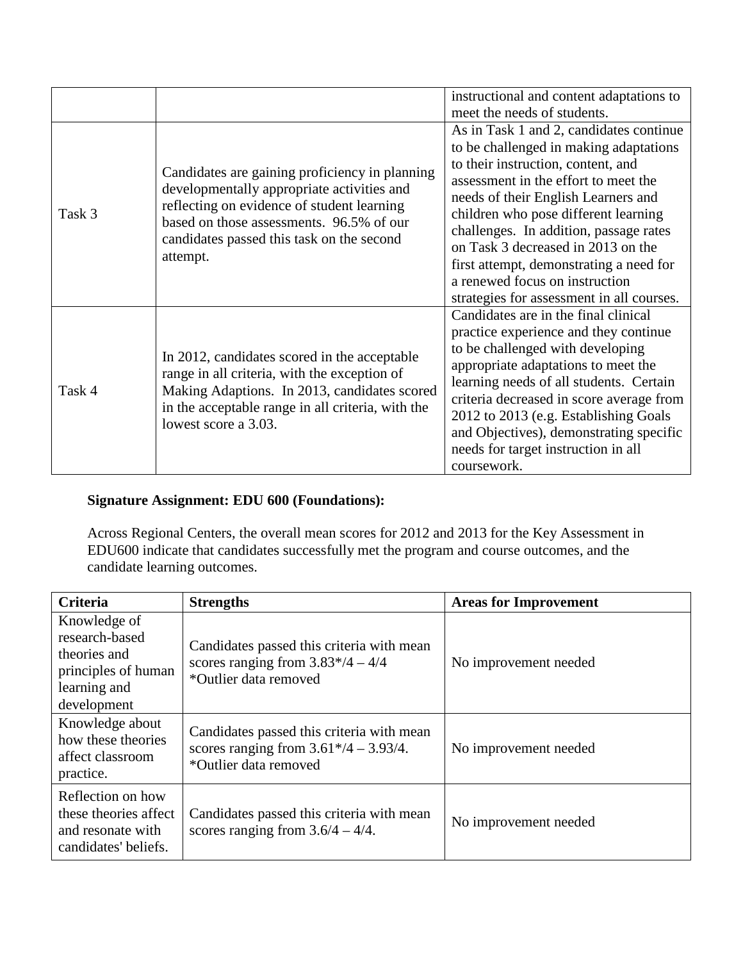|        |                                                                                                                                                                                                                           | instructional and content adaptations to  |
|--------|---------------------------------------------------------------------------------------------------------------------------------------------------------------------------------------------------------------------------|-------------------------------------------|
|        |                                                                                                                                                                                                                           | meet the needs of students.               |
|        |                                                                                                                                                                                                                           | As in Task 1 and 2, candidates continue   |
|        |                                                                                                                                                                                                                           | to be challenged in making adaptations    |
|        | Candidates are gaining proficiency in planning                                                                                                                                                                            | to their instruction, content, and        |
|        | developmentally appropriate activities and<br>reflecting on evidence of student learning                                                                                                                                  | assessment in the effort to meet the      |
|        |                                                                                                                                                                                                                           | needs of their English Learners and       |
| Task 3 | based on those assessments. 96.5% of our                                                                                                                                                                                  | children who pose different learning      |
|        | candidates passed this task on the second<br>attempt.                                                                                                                                                                     | challenges. In addition, passage rates    |
|        |                                                                                                                                                                                                                           | on Task 3 decreased in 2013 on the        |
|        |                                                                                                                                                                                                                           | first attempt, demonstrating a need for   |
|        |                                                                                                                                                                                                                           | a renewed focus on instruction            |
|        |                                                                                                                                                                                                                           | strategies for assessment in all courses. |
|        | In 2012, candidates scored in the acceptable<br>range in all criteria, with the exception of<br>Making Adaptions. In 2013, candidates scored<br>in the acceptable range in all criteria, with the<br>lowest score a 3.03. | Candidates are in the final clinical      |
|        |                                                                                                                                                                                                                           | practice experience and they continue     |
|        |                                                                                                                                                                                                                           | to be challenged with developing          |
| Task 4 |                                                                                                                                                                                                                           | appropriate adaptations to meet the       |
|        |                                                                                                                                                                                                                           | learning needs of all students. Certain   |
|        |                                                                                                                                                                                                                           | criteria decreased in score average from  |
|        |                                                                                                                                                                                                                           | 2012 to 2013 (e.g. Establishing Goals     |
|        |                                                                                                                                                                                                                           | and Objectives), demonstrating specific   |
|        |                                                                                                                                                                                                                           | needs for target instruction in all       |
|        |                                                                                                                                                                                                                           | coursework.                               |

# **Signature Assignment: EDU 600 (Foundations):**

Across Regional Centers, the overall mean scores for 2012 and 2013 for the Key Assessment in EDU600 indicate that candidates successfully met the program and course outcomes, and the candidate learning outcomes.

| <b>Criteria</b>                                                                                      | <b>Strengths</b>                                                                                               | <b>Areas for Improvement</b> |
|------------------------------------------------------------------------------------------------------|----------------------------------------------------------------------------------------------------------------|------------------------------|
| Knowledge of<br>research-based<br>theories and<br>principles of human<br>learning and<br>development | Candidates passed this criteria with mean<br>scores ranging from $3.83*/4 - 4/4$<br>*Outlier data removed      | No improvement needed        |
| Knowledge about<br>how these theories<br>affect classroom<br>practice.                               | Candidates passed this criteria with mean<br>scores ranging from $3.61*/4 - 3.93/4$ .<br>*Outlier data removed | No improvement needed        |
| Reflection on how<br>these theories affect<br>and resonate with<br>candidates' beliefs.              | Candidates passed this criteria with mean<br>scores ranging from $3.6/4 - 4/4$ .                               | No improvement needed        |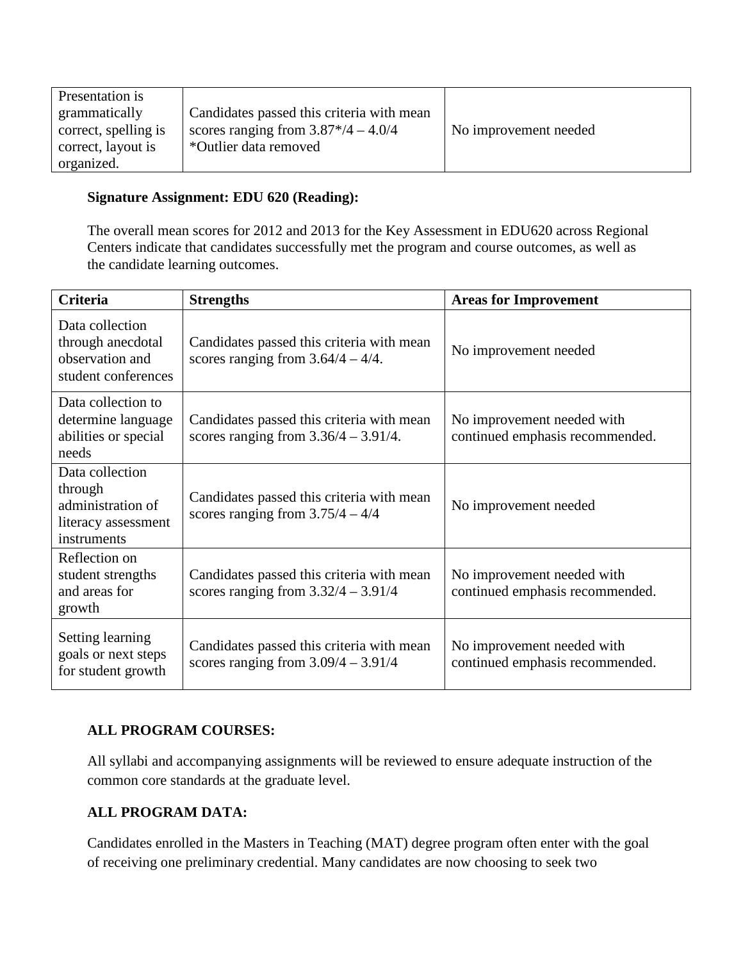| Presentation is      |                                           |                       |
|----------------------|-------------------------------------------|-----------------------|
| grammatically        | Candidates passed this criteria with mean |                       |
| correct, spelling is | scores ranging from $3.87*/4 - 4.0/4$     | No improvement needed |
| correct, layout is   | *Outlier data removed                     |                       |
| organized.           |                                           |                       |

## **Signature Assignment: EDU 620 (Reading):**

The overall mean scores for 2012 and 2013 for the Key Assessment in EDU620 across Regional Centers indicate that candidates successfully met the program and course outcomes, as well as the candidate learning outcomes.

| <b>Criteria</b>                                                                       | <b>Strengths</b>                                                                     | <b>Areas for Improvement</b>                                  |
|---------------------------------------------------------------------------------------|--------------------------------------------------------------------------------------|---------------------------------------------------------------|
| Data collection<br>through anecdotal<br>observation and<br>student conferences        | Candidates passed this criteria with mean<br>scores ranging from $3.64/4 - 4/4$ .    | No improvement needed                                         |
| Data collection to<br>determine language<br>abilities or special<br>needs             | Candidates passed this criteria with mean<br>scores ranging from $3.36/4 - 3.91/4$ . | No improvement needed with<br>continued emphasis recommended. |
| Data collection<br>through<br>administration of<br>literacy assessment<br>instruments | Candidates passed this criteria with mean<br>scores ranging from $3.75/4 - 4/4$      | No improvement needed                                         |
| Reflection on<br>student strengths<br>and areas for<br>growth                         | Candidates passed this criteria with mean<br>scores ranging from $3.32/4 - 3.91/4$   | No improvement needed with<br>continued emphasis recommended. |
| Setting learning<br>goals or next steps<br>for student growth                         | Candidates passed this criteria with mean<br>scores ranging from $3.09/4 - 3.91/4$   | No improvement needed with<br>continued emphasis recommended. |

# **ALL PROGRAM COURSES:**

All syllabi and accompanying assignments will be reviewed to ensure adequate instruction of the common core standards at the graduate level.

# **ALL PROGRAM DATA:**

Candidates enrolled in the Masters in Teaching (MAT) degree program often enter with the goal of receiving one preliminary credential. Many candidates are now choosing to seek two